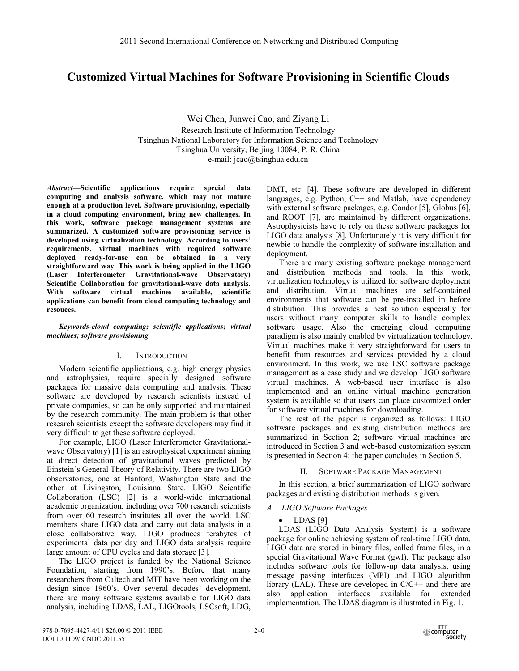# **Customized Virtual Machines for Software Provisioning in Scientific Clouds**

Wei Chen, Junwei Cao, and Ziyang Li Research Institute of Information Technology Tsinghua National Laboratory for Information Science and Technology Tsinghua University, Beijing 10084, P. R. China e-mail: jcao@tsinghua.edu.cn

*Abstract***—Scientific applications require special data computing and analysis software, which may not mature enough at a production level. Software provisioning, especially in a cloud computing environment, bring new challenges. In this work, software package management systems are summarized. A customized software provisioning service is developed using virtualization technology. According to users' requirements, virtual machines with required software deployed ready-for-use can be obtained in a very straightforward way. This work is being applied in the LIGO (Laser Interferometer Gravitational-wave Observatory) Scientific Collaboration for gravitational-wave data analysis. With software virtual machines available, scientific applications can benefit from cloud computing technology and resouces.** 

*Keywords-cloud computing; scientific applications; virtual machines; software provisioning* 

## I. INTRODUCTION

Modern scientific applications, e.g. high energy physics and astrophysics, require specially designed software packages for massive data computing and analysis. These software are developed by research scientists instead of private companies, so can be only supported and maintained by the research community. The main problem is that other research scientists except the software developers may find it very difficult to get these software deployed.

For example, LIGO (Laser Interferometer Gravitationalwave Observatory) [1] is an astrophysical experiment aiming at direct detection of gravitational waves predicted by Einstein's General Theory of Relativity. There are two LIGO observatories, one at Hanford, Washington State and the other at Livingston, Louisiana State. LIGO Scientific Collaboration (LSC) [2] is a world-wide international academic organization, including over 700 research scientists from over 60 research institutes all over the world. LSC members share LIGO data and carry out data analysis in a close collaborative way. LIGO produces terabytes of experimental data per day and LIGO data analysis require large amount of CPU cycles and data storage [3].

The LIGO project is funded by the National Science Foundation, starting from 1990's. Before that many researchers from Caltech and MIT have been working on the design since 1960's. Over several decades' development, there are many software systems available for LIGO data analysis, including LDAS, LAL, LIGOtools, LSCsoft, LDG, DMT, etc. [4]. These software are developed in different languages, e.g. Python,  $C++$  and Matlab, have dependency with external software packages, e.g. Condor [5], Globus [6], and ROOT [7], are maintained by different organizations. Astrophysicists have to rely on these software packages for LIGO data analysis [8]. Unfortunately it is very difficult for newbie to handle the complexity of software installation and deployment.

There are many existing software package management and distribution methods and tools. In this work, virtualization technology is utilized for software deployment and distribution. Virtual machines are self-contained environments that software can be pre-installed in before distribution. This provides a neat solution especially for users without many computer skills to handle complex software usage. Also the emerging cloud computing paradigm is also mainly enabled by virtualization technology. Virtual machines make it very straightforward for users to benefit from resources and services provided by a cloud environment. In this work, we use LSC software package management as a case study and we develop LIGO software virtual machines. A web-based user interface is also implemented and an online virtual machine generation system is available so that users can place customized order for software virtual machines for downloading.

The rest of the paper is organized as follows: LIGO software packages and existing distribution methods are summarized in Section 2; software virtual machines are introduced in Section 3 and web-based customization system is presented in Section 4; the paper concludes in Section 5.

# II. SOFTWARE PACKAGE MANAGEMENT

In this section, a brief summarization of LIGO software packages and existing distribution methods is given.

# *A. LIGO Software Packages*

## $\bullet$  LDAS [9]

LDAS (LIGO Data Analysis System) is a software package for online achieving system of real-time LIGO data. LIGO data are stored in binary files, called frame files, in a special Gravitational Wave Format (gwf). The package also includes software tools for follow-up data analysis, using message passing interfaces (MPI) and LIGO algorithm library (LAL). These are developed in C/C++ and there are also application interfaces available for extended implementation. The LDAS diagram is illustrated in Fig. 1.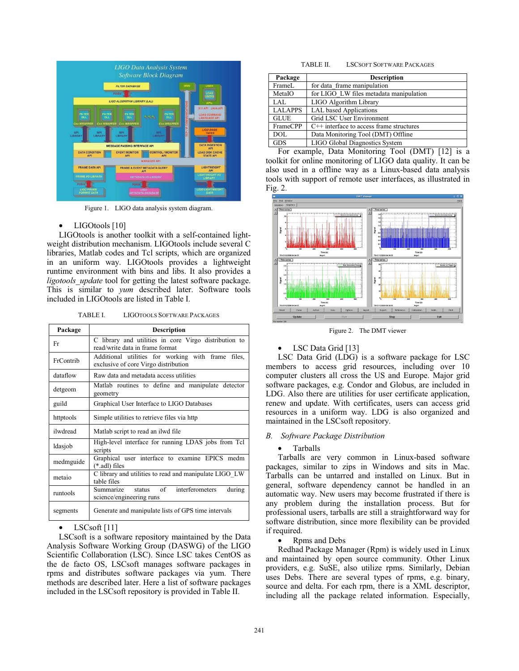

Figure 1. LIGO data analysis system diagram.

#### • LIGOtools [10]

LIGOtools is another toolkit with a self-contained lightweight distribution mechanism. LIGOtools include several C libraries, Matlab codes and Tcl scripts, which are organized in an uniform way. LIGOtools provides a lightweight runtime environment with bins and libs. It also provides a *ligotools\_update* tool for getting the latest software package. This is similar to *yum* described later. Software tools included in LIGOtools are listed in Table I.

TABLE I. LIGOTOOLS SOFTWARE PACKAGES

| Package   | <b>Description</b>                                                                         |  |  |
|-----------|--------------------------------------------------------------------------------------------|--|--|
| Fr        | C library and utilities in core Virgo distribution to<br>read/write data in frame format   |  |  |
| FrContrib | Additional utilities for working with frame files,<br>exclusive of core Virgo distribution |  |  |
| dataflow  | Raw data and metadata access utilities                                                     |  |  |
| detgeom   | Matlab routines to define and manipulate detector<br>geometry                              |  |  |
| guild     | Graphical User Interface to LIGO Databases                                                 |  |  |
| httptools | Simple utilities to retrieve files via http                                                |  |  |
| ilwdread  | Matlab script to read an ilwd file                                                         |  |  |
| ldasjob   | High-level interface for running LDAS jobs from Tcl<br>scripts                             |  |  |
| medmguide | Graphical user interface to examine EPICS medm<br>$(*.ad)$ files                           |  |  |
| metaio    | C library and utilities to read and manipulate LIGO LW<br>table files                      |  |  |
| runtools  | status of interferometers<br>during<br>Summarize<br>science/engineering runs               |  |  |
| segments  | Generate and manipulate lists of GPS time intervals                                        |  |  |

# $LSCsoft [11]$

LSCsoft is a software repository maintained by the Data Analysis Software Working Group (DASWG) of the LIGO Scientific Collaboration (LSC). Since LSC takes CentOS as the de facto OS, LSCsoft manages software packages in rpms and distributes software packages via yum. There methods are described later. Here a list of software packages included in the LSCsoft repository is provided in Table II.

| Package        | <b>Description</b>                                                 |
|----------------|--------------------------------------------------------------------|
| FrameL         | for data frame manipulation                                        |
| MetaIO         | for LIGO LW files metadata manipulation                            |
| LAL            | LIGO Algorithm Library                                             |
| <b>LALAPPS</b> | <b>LAL</b> based Applications                                      |
| <b>GLUE</b>    | Grid LSC User Environment                                          |
| FrameCPP       | $C++$ interface to access frame structures                         |
| DOL            | Data Monitoring Tool (DMT) Offline                                 |
| <b>GDS</b>     | LIGO Global Diagnostics System                                     |
| $\mathbf{r}$   | $1 \quad R \quad M \quad M \quad T \quad T \quad T$<br><b>E103</b> |

For example, Data Monitoring Tool (DMT) [12] is a toolkit for online monitoring of LIGO data quality. It can be also used in a offline way as a Linux-based data analysis tools with support of remote user interfaces, as illustrated in Fig. 2.



Figure 2. The DMT viewer

## LSC Data Grid [13]

LSC Data Grid (LDG) is a software package for LSC members to access grid resources, including over 10 computer clusters all cross the US and Europe. Major grid software packages, e.g. Condor and Globus, are included in LDG. Also there are utilities for user certificate application, renew and update. With certificates, users can access grid resources in a uniform way. LDG is also organized and maintained in the LSCsoft repository.

#### *B. Software Package Distribution*

#### • Tarballs

Tarballs are very common in Linux-based software packages, similar to zips in Windows and sits in Mac. Tarballs can be untarred and installed on Linux. But in general, software dependency cannot be handled in an automatic way. New users may become frustrated if there is any problem during the installation process. But for professional users, tarballs are still a straightforward way for software distribution, since more flexibility can be provided if required.

• Rpms and Debs

Redhad Package Manager (Rpm) is widely used in Linux and maintained by open source community. Other Linux providers, e.g. SuSE, also utilize rpms. Similarly, Debian uses Debs. There are several types of rpms, e.g. binary, source and delta. For each rpm, there is a XML descriptor, including all the package related information. Especially,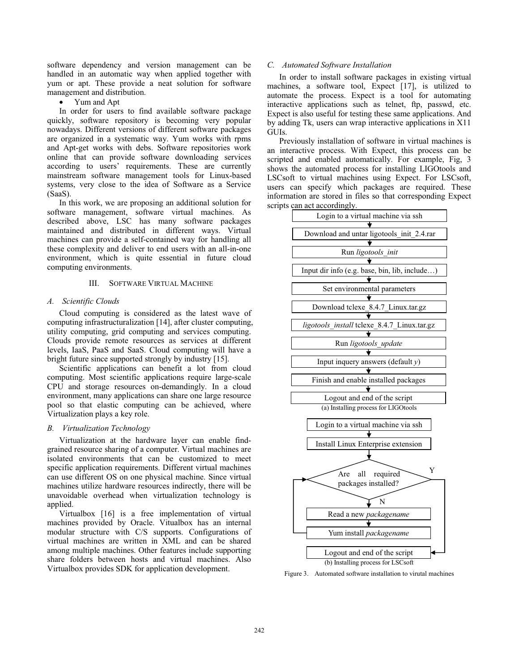software dependency and version management can be handled in an automatic way when applied together with yum or apt. These provide a neat solution for software management and distribution.

• Yum and Apt

In order for users to find available software package quickly, software repository is becoming very popular nowadays. Different versions of different software packages are organized in a systematic way. Yum works with rpms and Apt-get works with debs. Software repositories work online that can provide software downloading services according to users' requirements. These are currently mainstream software management tools for Linux-based systems, very close to the idea of Software as a Service (SaaS).

In this work, we are proposing an additional solution for software management, software virtual machines. As described above, LSC has many software packages maintained and distributed in different ways. Virtual machines can provide a self-contained way for handling all these complexity and deliver to end users with an all-in-one environment, which is quite essential in future cloud computing environments.

### III. SOFTWARE VIRTUAL MACHINE

## *A. Scientific Clouds*

Cloud computing is considered as the latest wave of computing infrastructuralization [14], after cluster computing, utility computing, grid computing and services computing. Clouds provide remote resources as services at different levels, IaaS, PaaS and SaaS. Cloud computing will have a bright future since supported strongly by industry [15].

Scientific applications can benefit a lot from cloud computing. Most scientific applications require large-scale CPU and storage resources on-demandingly. In a cloud environment, many applications can share one large resource pool so that elastic computing can be achieved, where Virtualization plays a key role.

#### *B. Virtualization Technology*

Virtualization at the hardware layer can enable findgrained resource sharing of a computer. Virtual machines are isolated environments that can be customized to meet specific application requirements. Different virtual machines can use different OS on one physical machine. Since virtual machines utilize hardware resources indirectly, there will be unavoidable overhead when virtualization technology is applied.

Virtualbox [16] is a free implementation of virtual machines provided by Oracle. Vitualbox has an internal modular structure with C/S supports. Configurations of virtual machines are written in XML and can be shared among multiple machines. Other features include supporting share folders between hosts and virtual machines. Also Virtualbox provides SDK for application development.

# *C. Automated Software Installation*

In order to install software packages in existing virtual machines, a software tool, Expect [17], is utilized to automate the process. Expect is a tool for automating interactive applications such as telnet, ftp, passwd, etc. Expect is also useful for testing these same applications. And by adding Tk, users can wrap interactive applications in X11 GUIs.

Previously installation of software in virtual machines is an interactive process. With Expect, this process can be scripted and enabled automatically. For example, Fig, 3 shows the automated process for installing LIGOtools and LSCsoft to virtual machines using Expect. For LSCsoft, users can specify which packages are required. These information are stored in files so that corresponding Expect scripts can act accordingly.



Figure 3. Automated software installation to virutal machines